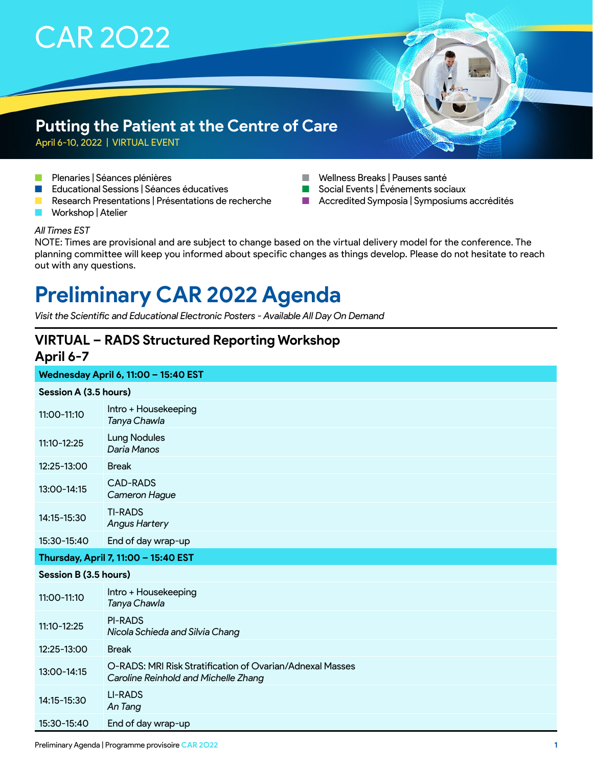# CAR 2O22

#### **Putting the Patient at the Centre of Care**

April 6-10, 2022 | VIRTUAL EVENT

- **n Plenaries | Séances plénières**
- n Educational Sessions | Séances éducatives
- **n** Research Presentations | Présentations de recherche
- Workshop | Atelier
- Wellness Breaks | Pauses santé
- Social Events | Événements sociaux
- Accredited Symposia | Symposiums accrédités

#### *All Times EST*

NOTE: Times are provisional and are subject to change based on the virtual delivery model for the conference. The planning committee will keep you informed about specific changes as things develop. Please do not hesitate to reach out with any questions.

## **Preliminary CAR 2022 Agenda**

*Visit the Scientific and Educational Electronic Posters - Available All Day On Demand*

#### **VIRTUAL – RADS Structured Reporting Workshop April 6-7**

|                                      | Wednesday April 6, 11:00 - 15:40 EST                                                              |  |
|--------------------------------------|---------------------------------------------------------------------------------------------------|--|
| Session A (3.5 hours)                |                                                                                                   |  |
| 11:00-11:10                          | Intro + Housekeeping<br>Tanya Chawla                                                              |  |
| 11:10-12:25                          | <b>Lung Nodules</b><br>Daria Manos                                                                |  |
| 12:25-13:00                          | <b>Break</b>                                                                                      |  |
| 13:00-14:15                          | <b>CAD-RADS</b><br>Cameron Hague                                                                  |  |
| 14:15-15:30                          | <b>TI-RADS</b><br><b>Angus Hartery</b>                                                            |  |
| 15:30-15:40                          | End of day wrap-up                                                                                |  |
| Thursday, April 7, 11:00 - 15:40 EST |                                                                                                   |  |
| Session B (3.5 hours)                |                                                                                                   |  |
| 11:00-11:10                          | Intro + Housekeeping<br>Tanya Chawla                                                              |  |
| 11:10-12:25                          | <b>PI-RADS</b><br>Nicola Schieda and Silvia Chang                                                 |  |
| 12:25-13:00                          | <b>Break</b>                                                                                      |  |
| 13:00-14:15                          | O-RADS: MRI Risk Stratification of Ovarian/Adnexal Masses<br>Caroline Reinhold and Michelle Zhang |  |
| 14:15-15:30                          | <b>LI-RADS</b><br>An Tang                                                                         |  |
| 15:30-15:40                          | End of day wrap-up                                                                                |  |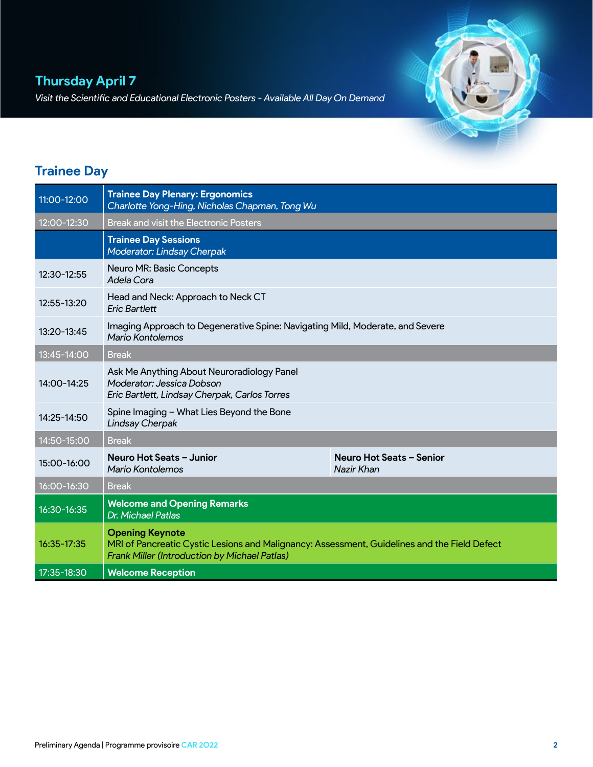#### **Thursday April 7**

*Visit the Scientific and Educational Electronic Posters - Available All Day On Demand*

#### **Trainee Day**

| 11:00-12:00 | <b>Trainee Day Plenary: Ergonomics</b><br>Charlotte Yong-Hing, Nicholas Chapman, Tong Wu                                                                                       |                                               |  |
|-------------|--------------------------------------------------------------------------------------------------------------------------------------------------------------------------------|-----------------------------------------------|--|
| 12:00-12:30 | <b>Break and visit the Electronic Posters</b>                                                                                                                                  |                                               |  |
|             | <b>Trainee Day Sessions</b><br><b>Moderator: Lindsay Cherpak</b>                                                                                                               |                                               |  |
| 12:30-12:55 | Neuro MR: Basic Concepts<br>Adela Cora                                                                                                                                         |                                               |  |
| 12:55-13:20 | Head and Neck: Approach to Neck CT<br><b>Eric Bartlett</b>                                                                                                                     |                                               |  |
| 13:20-13:45 | Imaging Approach to Degenerative Spine: Navigating Mild, Moderate, and Severe<br>Mario Kontolemos                                                                              |                                               |  |
| 13:45-14:00 | <b>Break</b>                                                                                                                                                                   |                                               |  |
| 14:00-14:25 | Ask Me Anything About Neuroradiology Panel<br>Moderator: Jessica Dobson<br>Eric Bartlett, Lindsay Cherpak, Carlos Torres                                                       |                                               |  |
| 14:25-14:50 | Spine Imaging - What Lies Beyond the Bone<br><b>Lindsay Cherpak</b>                                                                                                            |                                               |  |
| 14:50-15:00 | <b>Break</b>                                                                                                                                                                   |                                               |  |
| 15:00-16:00 | Neuro Hot Seats - Junior<br>Mario Kontolemos                                                                                                                                   | <b>Neuro Hot Seats - Senior</b><br>Nazir Khan |  |
| 16:00-16:30 | <b>Break</b>                                                                                                                                                                   |                                               |  |
| 16:30-16:35 | <b>Welcome and Opening Remarks</b><br>Dr. Michael Patlas                                                                                                                       |                                               |  |
| 16:35-17:35 | <b>Opening Keynote</b><br>MRI of Pancreatic Cystic Lesions and Malignancy: Assessment, Guidelines and the Field Defect<br><b>Frank Miller (Introduction by Michael Patlas)</b> |                                               |  |
| 17:35-18:30 | <b>Welcome Reception</b>                                                                                                                                                       |                                               |  |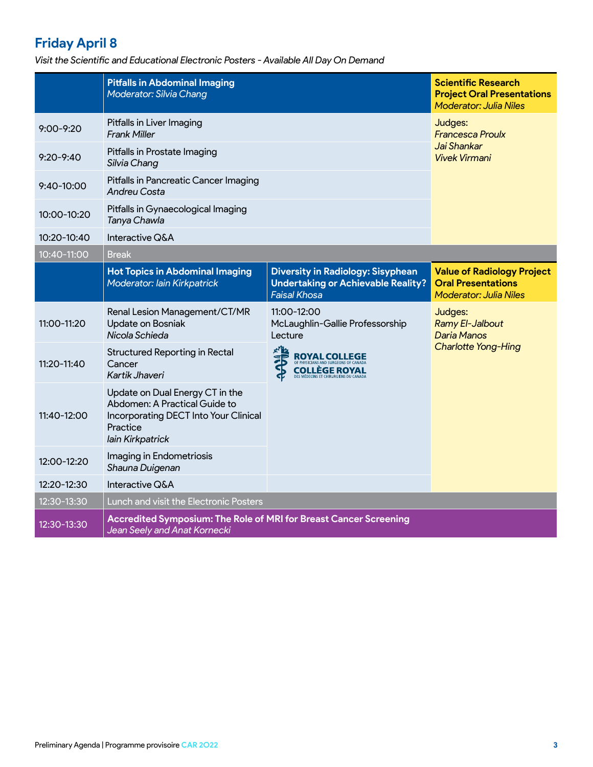#### **Friday April 8**

|               | <b>Pitfalls in Abdominal Imaging</b><br><b>Moderator: Silvia Chang</b>                                                                    |                                                                                                              | <b>Scientific Research</b><br><b>Project Oral Presentations</b><br><b>Moderator: Julia Niles</b> |
|---------------|-------------------------------------------------------------------------------------------------------------------------------------------|--------------------------------------------------------------------------------------------------------------|--------------------------------------------------------------------------------------------------|
| $9:00 - 9:20$ | Pitfalls in Liver Imaging<br><b>Frank Miller</b>                                                                                          |                                                                                                              | Judges:<br><b>Francesca Proulx</b>                                                               |
| $9:20 - 9:40$ | Pitfalls in Prostate Imaging<br>Silvia Chang                                                                                              |                                                                                                              | Jai Shankar<br><b>Vivek Virmani</b>                                                              |
| 9:40-10:00    | Pitfalls in Pancreatic Cancer Imaging<br><b>Andreu Costa</b>                                                                              |                                                                                                              |                                                                                                  |
| 10:00-10:20   | Pitfalls in Gynaecological Imaging<br>Tanya Chawla                                                                                        |                                                                                                              |                                                                                                  |
| 10:20-10:40   | Interactive Q&A                                                                                                                           |                                                                                                              |                                                                                                  |
| 10:40-11:00   | Break                                                                                                                                     |                                                                                                              |                                                                                                  |
|               | <b>Hot Topics in Abdominal Imaging</b><br>Moderator: lain Kirkpatrick                                                                     | <b>Diversity in Radiology: Sisyphean</b><br><b>Undertaking or Achievable Reality?</b><br><b>Faisal Khosa</b> | <b>Value of Radiology Project</b><br><b>Oral Presentations</b><br><b>Moderator: Julia Niles</b>  |
| 11:00-11:20   | Renal Lesion Management/CT/MR<br>Update on Bosniak<br>Nicola Schieda                                                                      | 11:00-12:00<br>McLaughlin-Gallie Professorship<br>Lecture                                                    | Judges:<br><b>Ramy El-Jalbout</b><br><b>Daria Manos</b>                                          |
| 11:20-11:40   | <b>Structured Reporting in Rectal</b><br>Cancer<br>Kartik Jhaveri                                                                         | <b>ROYAL COLLEGE</b><br>COLLEGE ROYAL                                                                        | <b>Charlotte Yong-Hing</b>                                                                       |
| 11:40-12:00   | Update on Dual Energy CT in the<br>Abdomen: A Practical Guide to<br>Incorporating DECT Into Your Clinical<br>Practice<br>lain Kirkpatrick |                                                                                                              |                                                                                                  |
| 12:00-12:20   | Imaging in Endometriosis<br>Shauna Duigenan                                                                                               |                                                                                                              |                                                                                                  |
| 12:20-12:30   | Interactive Q&A                                                                                                                           |                                                                                                              |                                                                                                  |
| 12:30-13:30   | Lunch and visit the Electronic Posters                                                                                                    |                                                                                                              |                                                                                                  |
| 12:30-13:30   | <b>Accredited Symposium: The Role of MRI for Breast Cancer Screening</b><br>Jean Seely and Anat Kornecki                                  |                                                                                                              |                                                                                                  |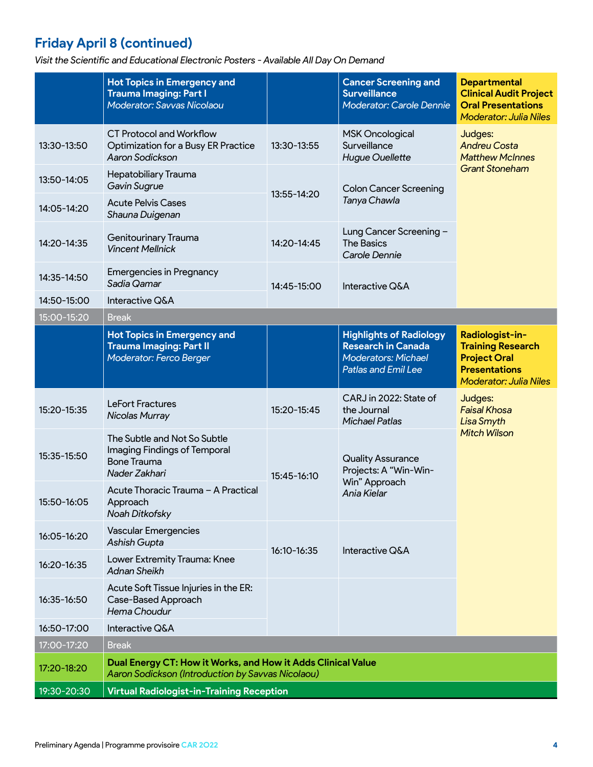#### **Friday April 8 (continued)**

|             | <b>Hot Topics in Emergency and</b><br><b>Trauma Imaging: Part I</b><br>Moderator: Savvas Nicolaou                 |             | <b>Cancer Screening and</b><br><b>Surveillance</b><br><b>Moderator: Carole Dennie</b>                                   | <b>Departmental</b><br><b>Clinical Audit Project</b><br><b>Oral Presentations</b><br><b>Moderator: Julia Niles</b>          |  |
|-------------|-------------------------------------------------------------------------------------------------------------------|-------------|-------------------------------------------------------------------------------------------------------------------------|-----------------------------------------------------------------------------------------------------------------------------|--|
| 13:30-13:50 | <b>CT Protocol and Workflow</b><br>Optimization for a Busy ER Practice<br>Aaron Sodickson                         | 13:30-13:55 | <b>MSK Oncological</b><br>Surveillance<br><b>Hugue Ouellette</b>                                                        | Judges:<br><b>Andreu Costa</b><br><b>Matthew McInnes</b>                                                                    |  |
| 13:50-14:05 | <b>Hepatobiliary Trauma</b><br>Gavin Sugrue                                                                       |             | <b>Colon Cancer Screening</b>                                                                                           | <b>Grant Stoneham</b>                                                                                                       |  |
| 14:05-14:20 | <b>Acute Pelvis Cases</b><br>Shauna Duigenan                                                                      | 13:55-14:20 | Tanya Chawla                                                                                                            |                                                                                                                             |  |
| 14:20-14:35 | Genitourinary Trauma<br><b>Vincent Mellnick</b>                                                                   | 14:20-14:45 | Lung Cancer Screening -<br><b>The Basics</b><br>Carole Dennie                                                           |                                                                                                                             |  |
| 14:35-14:50 | <b>Emergencies in Pregnancy</b><br>Sadia Qamar                                                                    | 14:45-15:00 | Interactive Q&A                                                                                                         |                                                                                                                             |  |
| 14:50-15:00 | Interactive Q&A                                                                                                   |             |                                                                                                                         |                                                                                                                             |  |
| 15:00-15:20 | <b>Break</b>                                                                                                      |             |                                                                                                                         |                                                                                                                             |  |
|             | <b>Hot Topics in Emergency and</b><br><b>Trauma Imaging: Part II</b><br>Moderator: Ferco Berger                   |             | <b>Highlights of Radiology</b><br><b>Research in Canada</b><br><b>Moderators: Michael</b><br><b>Patlas and Emil Lee</b> | Radiologist-in-<br><b>Training Research</b><br><b>Project Oral</b><br><b>Presentations</b><br><b>Moderator: Julia Niles</b> |  |
| 15:20-15:35 | LeFort Fractures<br>Nicolas Murray                                                                                | 15:20-15:45 | CARJ in 2022: State of<br>the Journal<br><b>Michael Patlas</b>                                                          | Judges:<br><b>Faisal Khosa</b><br><b>Lisa Smyth</b>                                                                         |  |
| 15:35-15:50 | The Subtle and Not So Subtle<br>Imaging Findings of Temporal<br><b>Bone Trauma</b><br>Nader Zakhari               | 15:45-16:10 | <b>Quality Assurance</b><br>Projects: A "Win-Win-<br>Win" Approach                                                      | <b>Mitch Wilson</b>                                                                                                         |  |
| 15:50-16:05 | Acute Thoracic Trauma - A Practical<br>Approach<br>Noah Ditkofsky                                                 |             | Ania Kielar                                                                                                             |                                                                                                                             |  |
| 16:05-16:20 | <b>Vascular Emergencies</b><br>Ashish Gupta                                                                       |             | Interactive Q&A                                                                                                         |                                                                                                                             |  |
| 16:20-16:35 | Lower Extremity Trauma: Knee<br><b>Adnan Sheikh</b>                                                               | 16:10-16:35 |                                                                                                                         |                                                                                                                             |  |
| 16:35-16:50 | Acute Soft Tissue Injuries in the ER:<br>Case-Based Approach<br>Hema Choudur                                      |             |                                                                                                                         |                                                                                                                             |  |
| 16:50-17:00 | Interactive Q&A                                                                                                   |             |                                                                                                                         |                                                                                                                             |  |
| 17:00-17:20 | <b>Break</b>                                                                                                      |             |                                                                                                                         |                                                                                                                             |  |
| 17:20-18:20 | Dual Energy CT: How it Works, and How it Adds Clinical Value<br>Aaron Sodickson (Introduction by Savvas Nicolaou) |             |                                                                                                                         |                                                                                                                             |  |
| 19:30-20:30 | <b>Virtual Radiologist-in-Training Reception</b>                                                                  |             |                                                                                                                         |                                                                                                                             |  |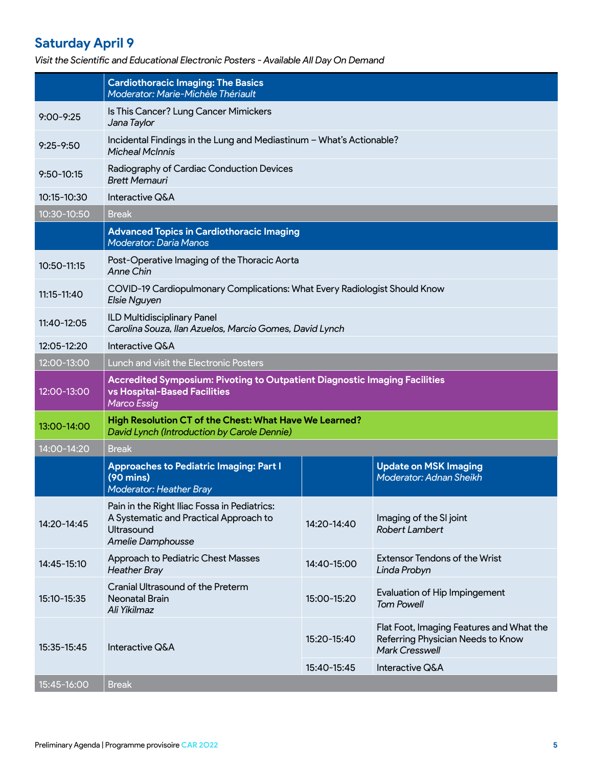### **Saturday April 9**

|                | <b>Cardiothoracic Imaging: The Basics</b><br>Moderator: Marie-Michèle Thériault                                                         |             |                                                                                                        |
|----------------|-----------------------------------------------------------------------------------------------------------------------------------------|-------------|--------------------------------------------------------------------------------------------------------|
| $9:00 - 9:25$  | Is This Cancer? Lung Cancer Mimickers<br>Jana Taylor                                                                                    |             |                                                                                                        |
| $9:25 - 9:50$  | Incidental Findings in the Lung and Mediastinum - What's Actionable?<br><b>Micheal McInnis</b>                                          |             |                                                                                                        |
| $9:50 - 10:15$ | Radiography of Cardiac Conduction Devices<br><b>Brett Memauri</b>                                                                       |             |                                                                                                        |
| 10:15-10:30    | Interactive Q&A                                                                                                                         |             |                                                                                                        |
| 10:30-10:50    | <b>Break</b>                                                                                                                            |             |                                                                                                        |
|                | <b>Advanced Topics in Cardiothoracic Imaging</b><br><b>Moderator: Daria Manos</b>                                                       |             |                                                                                                        |
| 10:50-11:15    | Post-Operative Imaging of the Thoracic Aorta<br>Anne Chin                                                                               |             |                                                                                                        |
| 11:15-11:40    | COVID-19 Cardiopulmonary Complications: What Every Radiologist Should Know<br>Elsie Nguyen                                              |             |                                                                                                        |
| 11:40-12:05    | ILD Multidisciplinary Panel<br>Carolina Souza, Ilan Azuelos, Marcio Gomes, David Lynch                                                  |             |                                                                                                        |
| 12:05-12:20    | Interactive Q&A                                                                                                                         |             |                                                                                                        |
| 12:00-13:00    | Lunch and visit the Electronic Posters                                                                                                  |             |                                                                                                        |
| 12:00-13:00    | <b>Accredited Symposium: Pivoting to Outpatient Diagnostic Imaging Facilities</b><br><b>vs Hospital-Based Facilities</b><br>Marco Essig |             |                                                                                                        |
| 13:00-14:00    | High Resolution CT of the Chest: What Have We Learned?<br>David Lynch (Introduction by Carole Dennie)                                   |             |                                                                                                        |
| 14:00-14:20    | <b>Break</b>                                                                                                                            |             |                                                                                                        |
|                | <b>Approaches to Pediatric Imaging: Part I</b><br>(90 mins)<br><b>Moderator: Heather Bray</b>                                           |             | <b>Update on MSK Imaging</b><br>Moderator: Adnan Sheikh                                                |
| 14:20-14:45    | Pain in the Right Iliac Fossa in Pediatrics:<br>A Systematic and Practical Approach to<br><b>Ultrasound</b><br>Amelie Damphousse        | 14:20-14:40 | Imaging of the SI joint<br><b>Robert Lambert</b>                                                       |
| 14:45-15:10    | Approach to Pediatric Chest Masses<br><b>Heather Bray</b>                                                                               | 14:40-15:00 | <b>Extensor Tendons of the Wrist</b><br>Linda Probyn                                                   |
| 15:10-15:35    | Cranial Ultrasound of the Preterm<br>Neonatal Brain<br>Ali Yikilmaz                                                                     | 15:00-15:20 | <b>Evaluation of Hip Impingement</b><br><b>Tom Powell</b>                                              |
| 15:35-15:45    | Interactive Q&A                                                                                                                         | 15:20-15:40 | Flat Foot, Imaging Features and What the<br>Referring Physician Needs to Know<br><b>Mark Cresswell</b> |
|                |                                                                                                                                         | 15:40-15:45 | Interactive Q&A                                                                                        |
| 15:45-16:00    | <b>Break</b>                                                                                                                            |             |                                                                                                        |